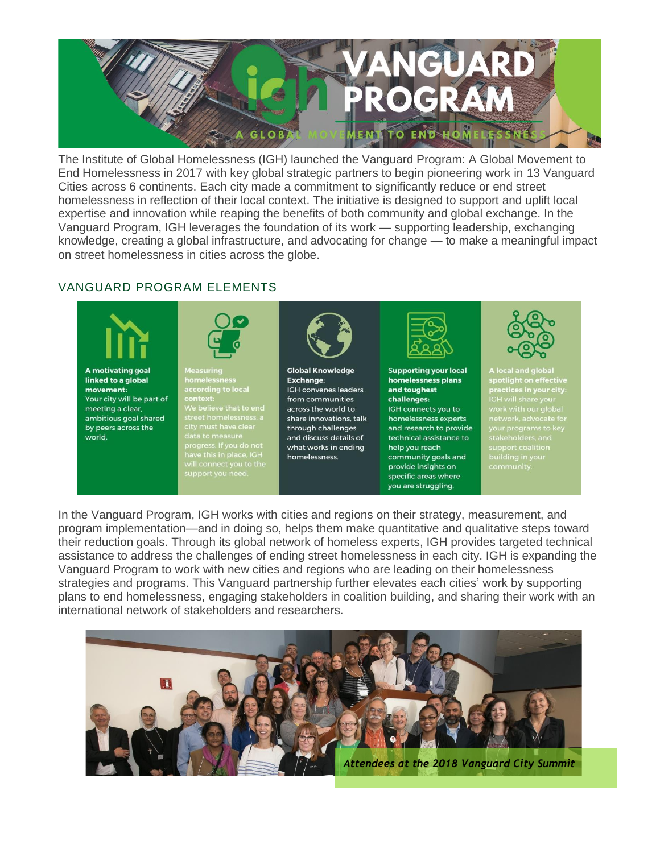

The Institute of Global Homelessness (IGH) launched the Vanguard Program: A Global Movement to End Homelessness in 2017 with key global strategic partners to begin pioneering work in 13 Vanguard Cities across 6 continents. Each city made a commitment to significantly reduce or end street homelessness in reflection of their local context. The initiative is designed to support and uplift local expertise and innovation while reaping the benefits of both community and global exchange. In the Vanguard Program, IGH leverages the foundation of its work — supporting leadership, exchanging knowledge, creating a global infrastructure, and advocating for change — to make a meaningful impact on street homelessness in cities across the globe.

## VANGUARD PROGRAM ELEMENTS



A motivating goal linked to a global movement: Your city will be part of meeting a clear, ambitious goal shared by peers across the world.



.c...c.com<br>according to local context:<br>We believe that to end<br>street homelessness, a<br>city must have clear



**Global Knowledge Exchange:** IGH convenes leaders from communities across the world to share innovations, talk through challenges and discuss details of what works in ending homelessness.



**Supporting your local** homelessness plans and toughest challenges: IGH connects you to homelessness experts and research to provide technical assistance to help you reach community goals and provide insights on specific areas where you are struggling.



**A local and global<br>:potlight on effective<br>:ractices in your city** your programs to key<br>stakeholders and stakenoiders, and<br>support coalition

In the Vanguard Program, IGH works with cities and regions on their strategy, measurement, and program implementation—and in doing so, helps them make quantitative and qualitative steps toward their reduction goals. Through its global network of homeless experts, IGH provides targeted technical assistance to address the challenges of ending street homelessness in each city. IGH is expanding the Vanguard Program to work with new cities and regions who are leading on their homelessness strategies and programs. This Vanguard partnership further elevates each cities' work by supporting plans to end homelessness, engaging stakeholders in coalition building, and sharing their work with an international network of stakeholders and researchers.